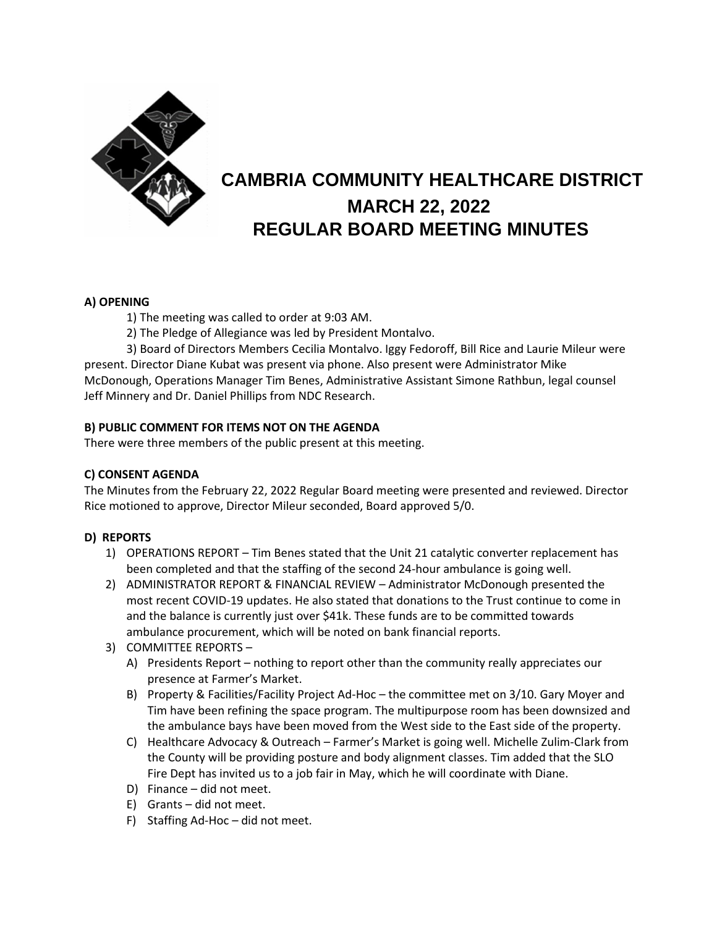

# **CAMBRIA COMMUNITY HEALTHCARE DISTRICT MARCH 22, 2022 REGULAR BOARD MEETING MINUTES**

## **A) OPENING**

- 1) The meeting was called to order at 9:03 AM.
- 2) The Pledge of Allegiance was led by President Montalvo.

3) Board of Directors Members Cecilia Montalvo. Iggy Fedoroff, Bill Rice and Laurie Mileur were present. Director Diane Kubat was present via phone. Also present were Administrator Mike McDonough, Operations Manager Tim Benes, Administrative Assistant Simone Rathbun, legal counsel Jeff Minnery and Dr. Daniel Phillips from NDC Research.

## **B) PUBLIC COMMENT FOR ITEMS NOT ON THE AGENDA**

There were three members of the public present at this meeting.

## **C) CONSENT AGENDA**

The Minutes from the February 22, 2022 Regular Board meeting were presented and reviewed. Director Rice motioned to approve, Director Mileur seconded, Board approved 5/0.

## **D) REPORTS**

- 1) OPERATIONS REPORT Tim Benes stated that the Unit 21 catalytic converter replacement has been completed and that the staffing of the second 24-hour ambulance is going well.
- 2) ADMINISTRATOR REPORT & FINANCIAL REVIEW Administrator McDonough presented the most recent COVID-19 updates. He also stated that donations to the Trust continue to come in and the balance is currently just over \$41k. These funds are to be committed towards ambulance procurement, which will be noted on bank financial reports.
- 3) COMMITTEE REPORTS
	- A) Presidents Report nothing to report other than the community really appreciates our presence at Farmer's Market.
	- B) Property & Facilities/Facility Project Ad-Hoc the committee met on 3/10. Gary Moyer and Tim have been refining the space program. The multipurpose room has been downsized and the ambulance bays have been moved from the West side to the East side of the property.
	- C) Healthcare Advocacy & Outreach Farmer's Market is going well. Michelle Zulim-Clark from the County will be providing posture and body alignment classes. Tim added that the SLO Fire Dept has invited us to a job fair in May, which he will coordinate with Diane.
	- D) Finance did not meet.
	- E) Grants did not meet.
	- F) Staffing Ad-Hoc did not meet.